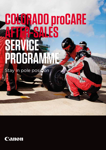## **COLORADO proCARE AFTER-SALES SERVICE PROGRAMME**

Stay in pole position

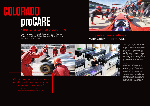# **COLORADO proCARE**

Your Colorado is not only the best and most innovative, industrial roll-to-roll production printer there is, it's your partner for bringing new artwork to life, for meeting the tightest deadlines and fulfilling even your most critical customers' needs. You rely on it on a daily basis and its performance is vital for your business. That's why your Colorado must be delivering top performance. Always.

Whether you've got one Colorado printer, like Dutch customer De Resolutie, or several, like Michael Hiemann at Siepro KG, Germany, you know how important your printer is to your business. The unrivalled quality ensures your customers come to you with their projects time after time. Often with challenging media and demanding deadlines. That's why you chose your Colorado in the first place.

## After-sales service programme

"Canon support engineers are smart people who understand what service means."

You've chosen the best there is in Large Format Graphics printing. Colorado proCARE will ensure you stay in pole position.



## Top performance. Always. With Colorado proCARE

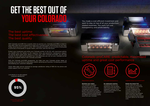With Colorado proCARE this is exactly what we promise you. Colorado proCARE is a best-inclass after-sales service programme to keep your Colorado printer performing at its very best. Today, tomorrow and in years to come. With Colorado proCARE you are ensured of being able to print tens of thousands of square meters, and more, well into the future.

Protect your investment and utilise your Colorado printer to the full, with maximised uptime. You benefit from the fastest on-site response times and preventive maintenance support. No worries about spare parts, labour or travel costs. With Colorado proCARE, you are fully covered. Do the math and be amazed how cost effectively you can run your Colorado printer during its complete lifetime with Colorado proCARE!

With the Colorado proCARE programme, we make sure your Colorado printer keeps on printing, so you can focus on what really matters: growing your business, increasing your profit and keeping your customers delighted.

Canon after-sales service received an average satisfaction rating of 95% for live phone and onsite support from our customer.

## **GET THE BEST OUT OF YOUR GOLOR**

## The best uptime The best cost effectiver The best quality

You made a cost-efficient investment and want to stay on top of all your productionrelated expenses. You want full cost transparency and predictability.

## Colorado proCARE: predictable, maximised uptime and great cost performance





#### **Maximise your output**

The Colorado's unrivalled productivity can be fully harvested thanks to optimally managing the uptime of your printer with Colorado proCARE. Minimise downtime and safeguard steady, continuous production at the highest and consistent quality levels from your Colorado!

### **No unpleasant surprises** Transparent Service Level

Agreements with all related costs ensure that there are no unpleasant surprises: Know what to expect thanks to clear. competitive costs.





#### Highest return on investment

**PERTHERNALLY** 

#### **Realise the lowest TCO**

Do the maths and realise the lowest total cost of ownership over the lifetime of your Colorado. Enabled by the winning combination of an industrial printer with the highest productivity standards and a world-class after-sales service programme that ensures maximum uptime for the lowest costs.



Live phone or on-site support customer satisfaction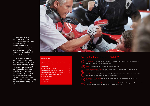Colorado proCARE is your premium aftersales service programme. Benefit from free maintenance and spare parts, preventive maintenance, remote support and the fastest on-site response times.

Colorado proCARE is your choice for hasslefree operation with 100% cost predictability. Clear terms and conditions! No hidden costs! You know exactly what you get. With Colorado proCARE, you maximise uptime, secure your investment and can focus on boosting your business with your Colorado!



30+ years' experience in developing and manufacturing high-quality industrial inkjet printers

Canon Services are first class: Our service organisations are repeatedly honoured with awards for the best service quality

The spare parts you need are nearby thanks to our global logistics network



Our trained support staff have access to state-of-the-art tools to help you quickly and effectively

#### Colorado proCARE Option for 36, 48 or 60-month contract Travel and labour cost Spare parts Preventive maintenance Same business day remote support Second-next business day onsite support Next business day onsite support

Printheads included<sup>4</sup>

- included
- o optional

## Why Colorado proCARE?

Approximately 500 certified Canon service technicians, plus hundreds of Canon certified partner service technicians Remote support available during business hours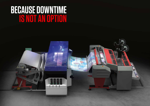## **BECAUSE DOWNTIME IS NOT AN OPTION**

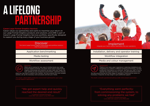Thanks to our many years' experience in planning installations and integrating our systems in different printing environments, we keep production interruption to a minimum. We train your staff in how to operate the system and how to carry out small maintenance tasks. We stay around during the initial stages of operation, finetuning the system as necessary. If required, we stay longer to give additional support.

"Everything went perfectly: from commissioning the system, to solving any problems we had" Canon after-sales support survey EMEA 2021



#### Implement Integrate your Canon solution seemlessly into your operations

When you're looking for new ways to further boost your Large Format Graphics business, we assess which Canon Large Format Graphics technology and solutions can best meet your needs. We look carefully at your production environment, customers and any

plans you may have to explore new markets. We then propose the most suitable solution, set up the necessary work processes and test your media.

# **A LIFELONG PARTNERSHIP**

#### **Canon Large Format Gra**

Canon values our partnership and wants to maximise your return on our Large Format Graphics products and solutions. proCARE is part of Canon's Large Format Graphics Services portfolio, specifically designed to support you during every stage of your business growth.

### **Discover**

### "We got expert help and quickly reached the desired end result"

Canon after-sales support survey EMEA 2021



The Canon Large Format Graphics technology and workflow solutions that fit your business

### Installation, delivery and operator training

#### Workflow integration

#### Media and colour management

Application benchmarking

Media testing

Workflow assessment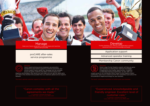Canon Large Format Graphics experts will help you grow your business by sharing their extensive knowledge of applications and market opportunities. In addition to dedicated training programmes, we also offer you unique access to our worldwide Canon Large Format Graphics expert community. Learn how to stand out from the competition and unlock the full potential of digital technology for your business.

## "Experienced, knowledgeable and friendly engineer. Excellent level of customer care."



Canon after-sales support survey EMEA 2021

Develop Further develop your offering with application support, advanced training and knowledge exchange



#### Manage

Canon award-winning service engineers use preventive maintenance and remote support to minimise downtime. Our remote support teams speak your language and are available across the globe. Aided by the latest communications and

diagnosis technologies, they advise you and make sure you get the spare parts you need in the shortest time possible from our extensive global service logistics network.

## "Canon complies with all the agreements we made."

Canon after-sales support survey EMEA 2021

#### Manage Keep your Canon equipment in optimal shape and maximise uptime with proCARE

#### Application support

#### Advanced operator training

#### Membership Canon community

#### proCARE after-sales service programme

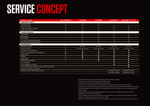| <b>Service concept</b>                            | <b>Time &amp; Material</b> | <b>proCARE</b>      | proCARE <sup>+</sup>   | <b>ProCAREELITE</b>           | <b>ProCAREELITE PLATINUM</b>  |
|---------------------------------------------------|----------------------------|---------------------|------------------------|-------------------------------|-------------------------------|
| Supported printers <sup>1</sup>                   |                            |                     |                        |                               |                               |
| Colorado 1630                                     | $\circ$                    | $\circ$             | $\circ$                | $\sim$                        | a.                            |
| Colorado 1650                                     | $\circ$                    | $\circ$             | $\circ$                | $\circ$                       | $\circ$                       |
| <b>UVgel Wallpaper Factory</b>                    | $\circ$                    | $\circ$             | $\circ$                | $\circ$                       | $\circ$                       |
| <b>UVgel Print Factory</b>                        | $\circ$                    | $\circ$             | $\circ$                | $\circ$                       | $\circ$                       |
| <b>Contract duration<sup>2</sup></b>              |                            |                     |                        |                               |                               |
| 36 months                                         | $\sim$                     | $\bigcirc$          | $\bigcirc$             | $\circ$                       | $\bigcirc$                    |
| 48 months                                         | н                          | $\circ$             | $\circ$                | $\circ$                       | $\circ$                       |
| 60 months                                         | $\mathbf{r}$               | $\circ$             | $\circ$                | $\circ$                       | $\bigcirc$                    |
| 12-month contract extension                       | a.                         | $\circ$             | $\circ$                | $\circ$                       | $\bigcirc$                    |
| 24-month contract extension                       | a.                         | $\circ$             | $\circ$                | $\circ$                       | $\circ$                       |
| Specifications <sup>3</sup>                       |                            |                     |                        |                               |                               |
| Remote support                                    | $\circ$                    | Same day            | Same day               | Same day                      | Same day                      |
| Onsite support                                    | $\circ$                    | Second business day | Next Business day      | Next business day             | Next business day             |
| Preventive maintenance                            | $\circ$                    | $\bullet$           | $\bullet$              | $\bullet$                     | $\bullet$                     |
| Safety- & mandatory modifications                 | $\bullet$                  | $\bullet$           | $\bullet$              | $\bullet$                     | $\bullet$                     |
| Spare parts                                       | $\circ$                    | $\bullet$           | $\bullet$              | $\bullet$                     | $\bullet$                     |
| Labour                                            | $\circ$                    | $\bullet$           | $\bullet$              | $\bullet$                     | $\bullet$                     |
| Travel time                                       | $\circ$                    | $\bullet$           | $\bullet$              | $\bullet$                     | $\bullet$                     |
| Printheads included <sup>4</sup>                  | $\sim$                     | $\sim$              | $\bullet$ <sup>1</sup> | $\bullet$                     | $\bullet$                     |
| Ink included <sup>5</sup>                         | $\sim$                     | ÷                   | $\sim$                 | $\bullet$                     | $\bullet$                     |
| Consumables included <sup>6</sup>                 | $\sim$                     | $\sim$              | $\sim$                 | $\bullet$                     | $\bullet$                     |
| 1st line support by customer, accredited by Canon | $\sim$                     | <b>CO</b>           | $\sim$                 | н                             | $\bullet$                     |
| Minimum number of printers                        | ъ.                         | $\sim$              | ъ.                     | $\overline{3}$                | 5                             |
| Minimum print volume per printer                  | a.                         | ÷                   | $\sim$                 | 30.000 m <sup>2</sup> /year   | $50.000$ m <sup>2</sup> /year |
|                                                   |                            |                     |                        | 325.000 ft <sup>2</sup> /year | 540.000 ft <sup>2</sup> /year |

- <sup>1</sup> proCARE after-sales services are available for selected Colorado printers Check with your account manager the latest product list
- <sup>2</sup> Contracts terms start from installation date of the printer
- <sup>2</sup> proCARE can only be offered for Colorado printers, using genuine inks, parts and consumables
- <sup>2</sup> Customer must keep active the connection to On Remote Service (ORS) as from the installation of the printer
- <sup>3</sup> Services offering and pricing might vary according to the territory. Contact your service organization for further details
- <sup>4</sup> Includes accidental damage coverage, allowed carry over up to two replacements in the next year, depending on printer- and model series
- <sup>5</sup> Unit of measure for invoicing is the number of of square meters or square fee of media printed (Counter 218508, corresponding to counter (A) in meter reads)
- <sup>6</sup> Filters, matrix plate cleaning foam, swabs, maintenance trays, cleaner, knives, lubrication sets, gloves, etc.

# **SERVICE CONCEPT**